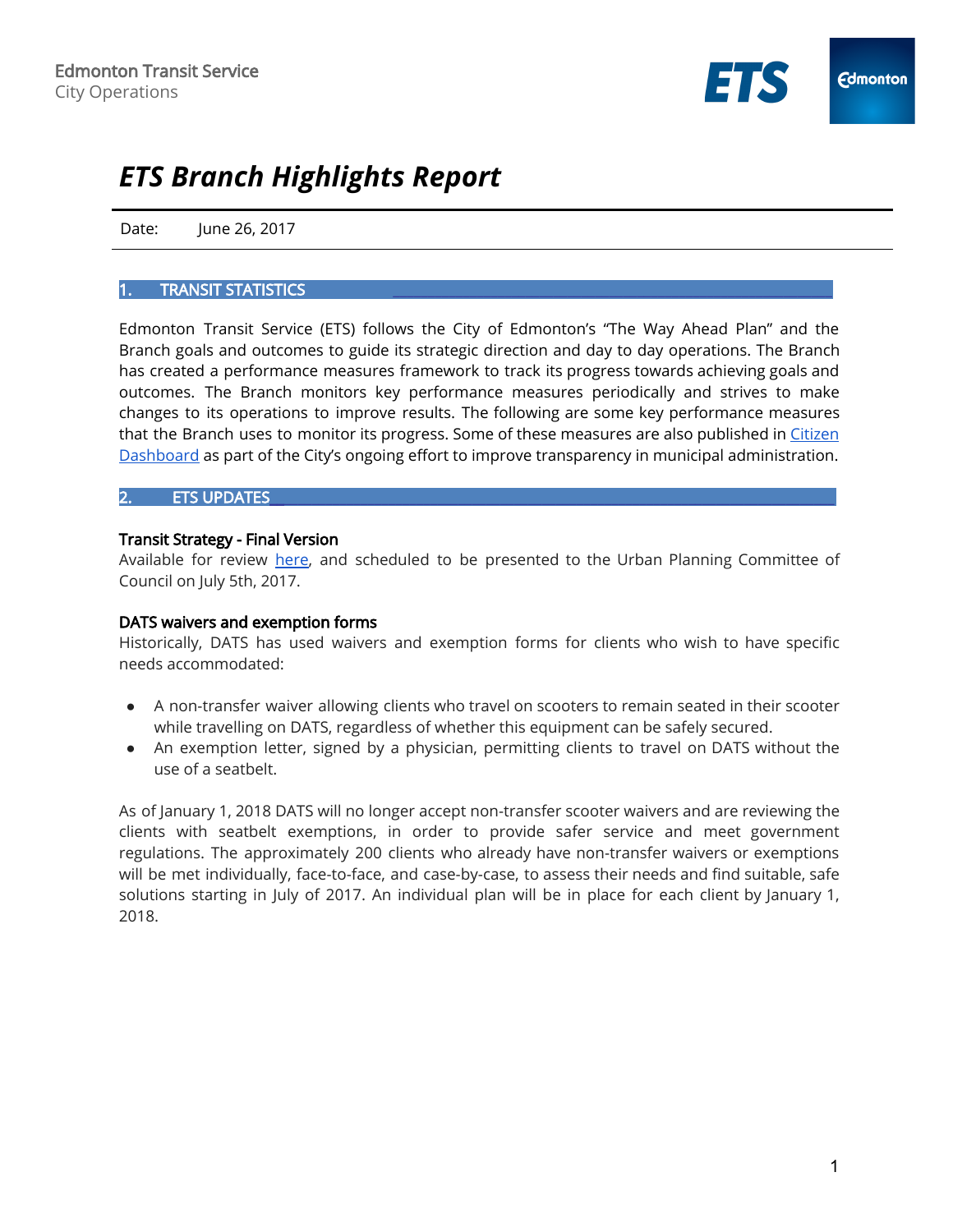

# *ETS Branch Highlights Report*

Date: June 26, 2017

#### [TRANSIT STATISTICS](https://docs.google.com/a/edmonton.ca/spreadsheets/d/1yR4iBAg71fnWbvMDnE_Oihicz1uz5-_BIkE7ytYjLb8/edit?usp=sharing)

Edmonton Transit Service (ETS) follows the City of Edmonton's "The Way Ahead Plan" and the Branch goals and outcomes to guide its strategic direction and day to day operations. The Branch has created a performance measures framework to track its progress towards achieving goals and outcomes. The Branch monitors key performance measures periodically and strives to make changes to its operations to improve results. The following are some key performance measures that the Branch uses to monitor its progress. Some of these measures are also published in [Citizen](https://dashboard.edmonton.ca/) [Dashboard](https://dashboard.edmonton.ca/) as part of the City's ongoing effort to improve transparency in municipal administration.

## 2. ETS UPDATES\_\_\_\_\_\_\_\_\_\_\_\_\_\_\_\_\_\_\_\_\_\_\_\_\_\_\_\_\_\_\_\_\_\_\_\_\_\_\_\_\_\_\_\_\_\_\_\_\_\_\_\_\_\_\_\_\_\_\_\_\_\_\_\_\_\_\_\_\_\_\_\_\_\_\_\_\_\_\_\_\_

#### Transit Strategy - Final Version

Available for review [here,](https://drive.google.com/file/d/0B_11GyinaQAdaXRVMjBFejE3a00/view) and scheduled to be presented to the Urban Planning Committee of Council on July 5th, 2017.

### DATS waivers and exemption forms

Historically, DATS has used waivers and exemption forms for clients who wish to have specific needs accommodated:

- A non-transfer waiver allowing clients who travel on scooters to remain seated in their scooter while travelling on DATS, regardless of whether this equipment can be safely secured.
- An exemption letter, signed by a physician, permitting clients to travel on DATS without the use of a seatbelt.

As of January 1, 2018 DATS will no longer accept non-transfer scooter waivers and are reviewing the clients with seatbelt exemptions, in order to provide safer service and meet government regulations. The approximately 200 clients who already have non-transfer waivers or exemptions will be met individually, face-to-face, and case-by-case, to assess their needs and find suitable, safe solutions starting in July of 2017. An individual plan will be in place for each client by January 1, 2018.